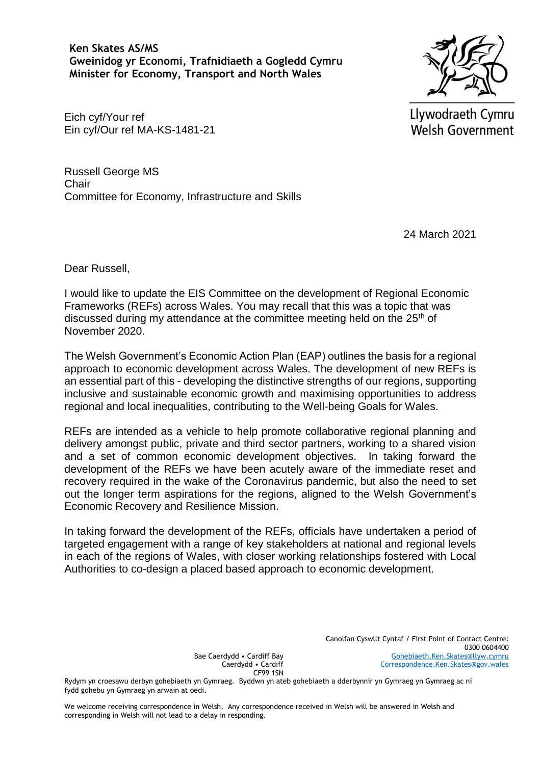**Ken Skates AS/MS Gweinidog yr Economi, Trafnidiaeth a Gogledd Cymru Minister for Economy, Transport and North Wales**



Llywodraeth Cymru Welsh Government

Eich cyf/Your ref Ein cyf/Our ref MA-KS-1481-21

Russell George MS **Chair** Committee for Economy, Infrastructure and Skills

24 March 2021

Dear Russell,

I would like to update the EIS Committee on the development of Regional Economic Frameworks (REFs) across Wales. You may recall that this was a topic that was discussed during my attendance at the committee meeting held on the  $25<sup>th</sup>$  of November 2020.

The Welsh Government's Economic Action Plan (EAP) outlines the basis for a regional approach to economic development across Wales. The development of new REFs is an essential part of this - developing the distinctive strengths of our regions, supporting inclusive and sustainable economic growth and maximising opportunities to address regional and local inequalities, contributing to the Well-being Goals for Wales.

REFs are intended as a vehicle to help promote collaborative regional planning and delivery amongst public, private and third sector partners, working to a shared vision and a set of common economic development objectives. In taking forward the development of the REFs we have been acutely aware of the immediate reset and recovery required in the wake of the Coronavirus pandemic, but also the need to set out the longer term aspirations for the regions, aligned to the Welsh Government's Economic Recovery and Resilience Mission.

In taking forward the development of the REFs, officials have undertaken a period of targeted engagement with a range of key stakeholders at national and regional levels in each of the regions of Wales, with closer working relationships fostered with Local Authorities to co-design a placed based approach to economic development.

> Canolfan Cyswllt Cyntaf / First Point of Contact Centre: 0300 0604400 [Gohebiaeth.Ken.Skates@llyw.cymru](mailto:Gohebiaeth.Ken.Skates@llyw.cymru) [Correspondence.Ken.Skates@gov.wales](mailto:Correspondence.Ken.Skates@gov.wales)

Bae Caerdydd • Cardiff Bay Caerdydd • Cardiff CF99 1SN

Rydym yn croesawu derbyn gohebiaeth yn Gymraeg. Byddwn yn ateb gohebiaeth a dderbynnir yn Gymraeg yn Gymraeg ac ni fydd gohebu yn Gymraeg yn arwain at oedi.

We welcome receiving correspondence in Welsh. Any correspondence received in Welsh will be answered in Welsh and corresponding in Welsh will not lead to a delay in responding.